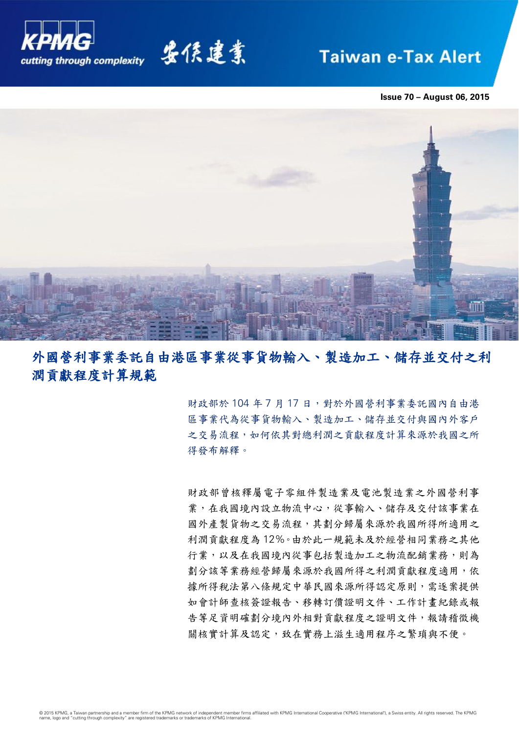

要係建業

# **Taiwan e-Tax Alert**

**Issue 70 – August 06, 2015**



# 外國營利事業委託自由港區事業從事貨物輸入、製造加工、儲存並交付之利 潤貢獻程度計算規範

財政部於 104年7月17日,對於外國營利事業委託國內自由港 區事業代為從事貨物輸入、製造加工、儲存並交付與國內外客戶 之交易流程,如何依其對總利潤之貢獻程度計算來源於我國之所 得發布解釋。

財政部曾核釋屬電子零組件製造業及電池製造業之外國營利事 業,在我國境內設立物流中心,從事輸入、儲存及交付該事業在 國外產製貨物之交易流程,其劃分歸屬來源於我國所得所適用之 利潤貢獻程度為 12%。由於此一規範未及於經營相同業務之其他 行業,以及在我國境內從事包括製造加工之物流配銷業務,則為 劃分該等業務經營歸屬來源於我國所得之利潤貢獻程度適用,依 據所得稅法第八條規定中華民國來源所得認定原則,需逐案提供 如會計師查核簽證報告、移轉訂價證明文件、工作計畫紀錄或報 告等足資明確劃分境內外相對貢獻程度之證明文件,報請稽徵機 關核實計算及認定,致在實務上滋生適用程序之繁瑣與不便。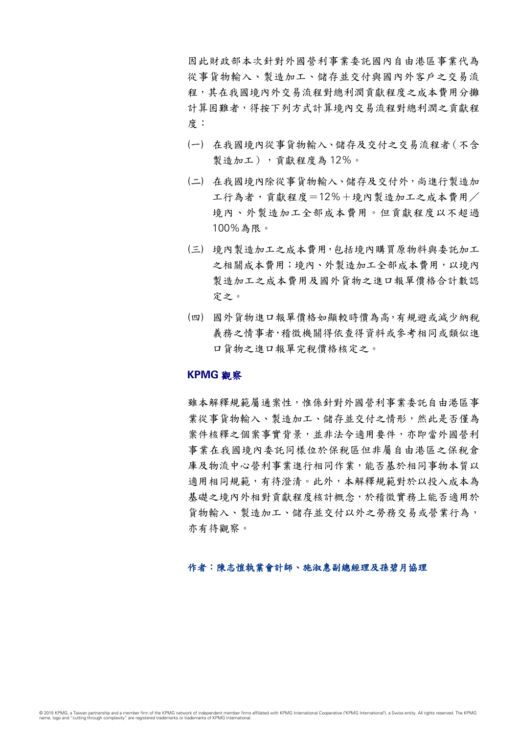因此財政部本次針對外國營利事業委託國內自由港區事業代為 從事貨物輸入、製造加工、儲存並交付與國內外客戶之交易流 程,其在我國境內外交易流程對總利潤貢獻程度之成本費用分攤 計算困難者,得按下列方式計算境內交易流程對總利潤之貢獻程 度:

- (一) 在我國境內從事貨物輸入、儲存及交付之交易流程者(不含 製造加工),貢獻程度為 12%。
- (二) 在我國境內除從事貨物輸入、儲存及交付外,尚進行製造加 工行為者,貢獻程度=12%+境內製造加工之成本費用/ 境內、外製造加工全部成本費用。但貢獻程度以不超過 100%為限。
- (三) 境內製造加工之成本費用,包括境內購買原物料與委託加工 之相關成本費用;境內、外製造加工全部成本費用,以境內 製造加工之成本費用及國外貨物之進口報單價格合計數認 定之。
- (四) 國外貨物進口報單價格如顯較時價為高,有規避或減少納稅 義務之情事者,稽徵機關得依查得資料或參考相同或類似進 口貨物之進口報單完稅價格核定之。

# **KPMG** 觀察

雖本解釋規範屬通案性,惟係針對外國營利事業委託自由港區事 業從事貨物輸入、製造加工、儲存並交付之情形,然此是否僅為 案件核釋之個案事實背景,並非法令適用要件,亦即當外國營利 事業在我國境內委託同樣位於保稅區但非屬自由港區之保稅倉 庫及物流中心營利事業進行相同作業,能否基於相同事物本質以 適用相同規範,有待澄清。此外,本解釋規範對於以投入成本為 基礎之境內外相對貢獻程度核計概念,於稽徵實務上能否適用於 貨物輸入、製造加工、儲存並交付以外之勞務交易或營業行為, 亦有待觀察。

# 作者:陳志愷執業會計師、施淑惠副總經理及孫碧月協理